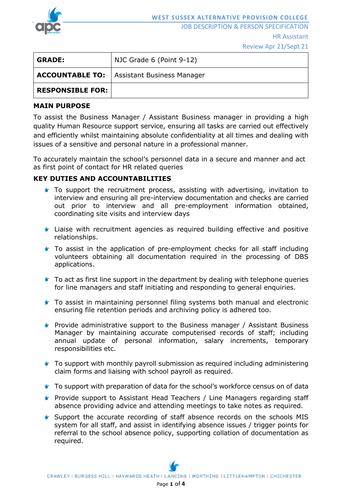

JOB DESCRIPTION & PERSON SPECIFICATION

#### HR Assistant

Review Apr 21/Sept 21

| <b>GRADE:</b>           | NJC Grade 6 (Point 9-12)                            |
|-------------------------|-----------------------------------------------------|
|                         | <b>ACCOUNTABLE TO:</b>   Assistant Business Manager |
| <b>RESPONSIBLE FOR:</b> |                                                     |

# **MAIN PURPOSE**

To assist the Business Manager / Assistant Business manager in providing a high quality Human Resource support service, ensuring all tasks are carried out effectively and efficiently whilst maintaining absolute confidentiality at all times and dealing with issues of a sensitive and personal nature in a professional manner.

To accurately maintain the school's personnel data in a secure and manner and act as first point of contact for HR related queries

# **KEY DUTIES AND ACCOUNTABILITIES**

- To support the recruitment process, assisting with advertising, invitation to interview and ensuring all pre-interview documentation and checks are carried out prior to interview and all pre-employment information obtained, coordinating site visits and interview days
- **In Liaise with recruitment agencies as required building effective and positive** relationships.
- **To assist in the application of pre-employment checks for all staff including** volunteers obtaining all documentation required in the processing of DBS applications.
- **To act as first line support in the department by dealing with telephone queries** for line managers and staff initiating and responding to general enquiries.
- To assist in maintaining personnel filing systems both manual and electronic ensuring file retention periods and archiving policy is adhered too.
- **F** Provide administrative support to the Business manager / Assistant Business Manager by maintaining accurate computerised records of staff; including annual update of personal information, salary increments, temporary responsibilities etc.
- **To support with monthly payroll submission as required including administering** claim forms and liaising with school payroll as required.
- To support with preparation of data for the school's workforce census on of data
- **Provide support to Assistant Head Teachers / Line Managers regarding staff** absence providing advice and attending meetings to take notes as required.
- Support the accurate recording of staff absence records on the schools MIS system for all staff, and assist in identifying absence issues / trigger points for referral to the school absence policy, supporting collation of documentation as required.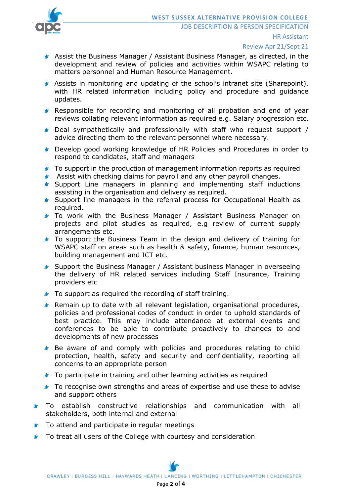

- Assist the Business Manager / Assistant Business Manager, as directed, in the development and review of policies and activities within WSAPC relating to matters personnel and Human Resource Management.
- Assists in monitoring and updating of the school's intranet site (Sharepoint), with HR related information including policy and procedure and guidance updates.
- Responsible for recording and monitoring of all probation and end of year reviews collating relevant information as required e.g. Salary progression etc.
- Deal sympathetically and professionally with staff who request support / advice directing them to the relevant personnel where necessary.
- Develop good working knowledge of HR Policies and Procedures in order to respond to candidates, staff and managers
- To support in the production of management information reports as required
- **Assist with checking claims for payroll and any other payroll changes.**
- **Support Line managers in planning and implementing staff inductions** assisting in the organisation and delivery as required.
- Support line managers in the referral process for Occupational Health as required.
- **f** To work with the Business Manager / Assistant Business Manager on projects and pilot studies as required, e.g review of current supply arrangements etc.
- To support the Business Team in the design and delivery of training for WSAPC staff on areas such as health & safety, finance, human resources, building management and ICT etc.
- **Support the Business Manager / Assistant business Manager in overseeing** the delivery of HR related services including Staff Insurance, Training providers etc
- **To support as required the recording of staff training.**
- Remain up to date with all relevant legislation, organisational procedures, policies and professional codes of conduct in order to uphold standards of best practice. This may include attendance at external events and conferences to be able to contribute proactively to changes to and developments of new processes
- **Be aware of and comply with policies and procedures relating to child** protection, health, safety and security and confidentiality, reporting all concerns to an appropriate person
- **f** To participate in training and other learning activities as required
- To recognise own strengths and areas of expertise and use these to advise and support others
- **f** To establish constructive relationships and communication with all stakeholders, both internal and external
- $\blacktriangleright$ To attend and participate in regular meetings
- $\bullet$ To treat all users of the College with courtesy and consideration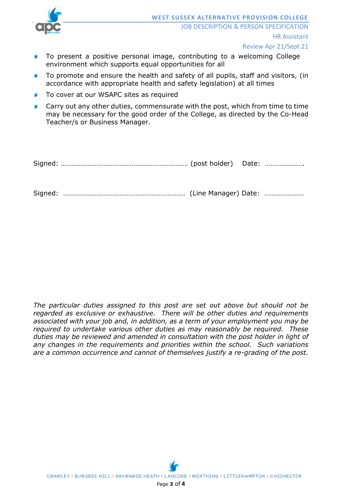

Review Apr 21/Sept 21

- To present a positive personal image, contributing to a welcoming College 6 environment which supports equal opportunities for all
- To promote and ensure the health and safety of all pupils, staff and visitors, (in  $\bullet$ accordance with appropriate health and safety legislation) at all times
- $\bullet$ To cover at our WSAPC sites as required
- Carry out any other duties, commensurate with the post, which from time to time  $\blacktriangleright$ may be necessary for the good order of the College, as directed by the Co-Head Teacher/s or Business Manager.

|--|--|--|--|

Signed: …………………………………………………………… (Line Manager) Date: ………………….

*The particular duties assigned to this post are set out above but should not be regarded as exclusive or exhaustive. There will be other duties and requirements associated with your job and, in addition, as a term of your employment you may be required to undertake various other duties as may reasonably be required. These duties may be reviewed and amended in consultation with the post holder in light of any changes in the requirements and priorities within the school. Such variations are a common occurrence and cannot of themselves justify a re-grading of the post.*